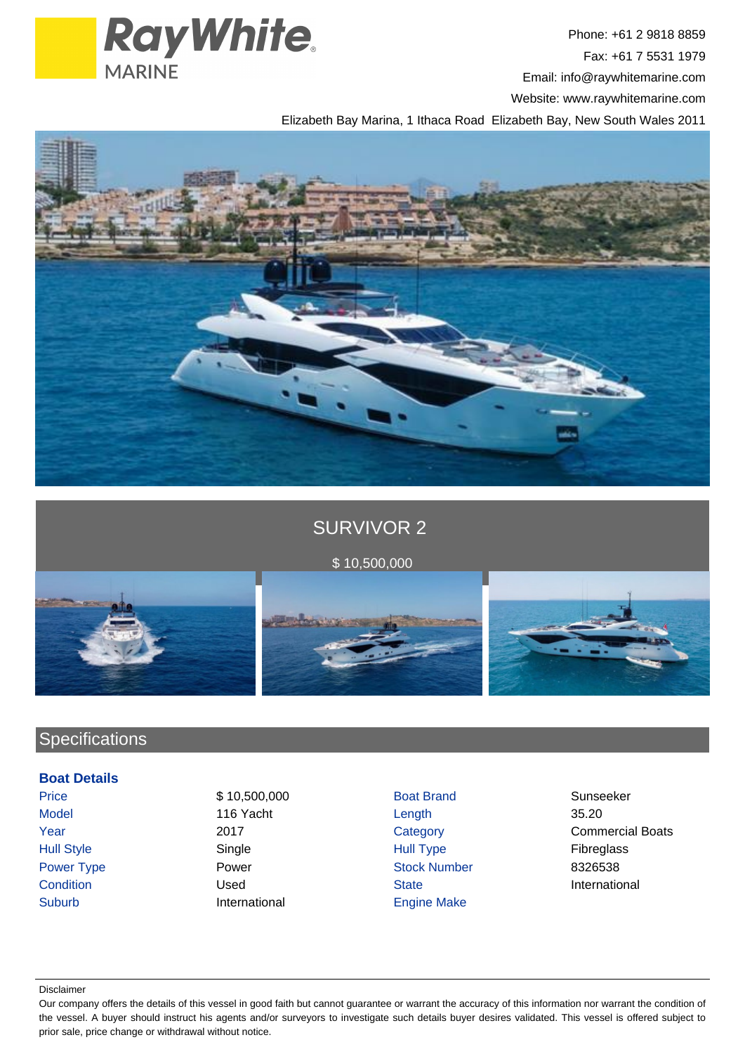

Phone: +61 2 9818 8859 Fax: +61 7 5531 1979 Email: info@raywhitemarine.com Website: www.raywhitemarine.com

Elizabeth Bay Marina, 1 Ithaca Road Elizabeth Bay, New South Wales 2011



# SURVIVOR 2

# \$ 10,500,000

# **Specifications**

## **Boat Details**

- 
- Suburb **International** Engine Make
- Price \$ 10,500,000 Boat Brand Sunseeker Model 116 Yacht Length 35.20 Hull Style Single Hull Type Fibreglass Power Type **Power Stock Number** Power **Stock Number** 8326538 Condition **Condition** Condition Conditional Used State State State **International**
- Year 2017 2017 Category Category Commercial Boats

#### Disclaimer

Our company offers the details of this vessel in good faith but cannot guarantee or warrant the accuracy of this information nor warrant the condition of the vessel. A buyer should instruct his agents and/or surveyors to investigate such details buyer desires validated. This vessel is offered subject to prior sale, price change or withdrawal without notice.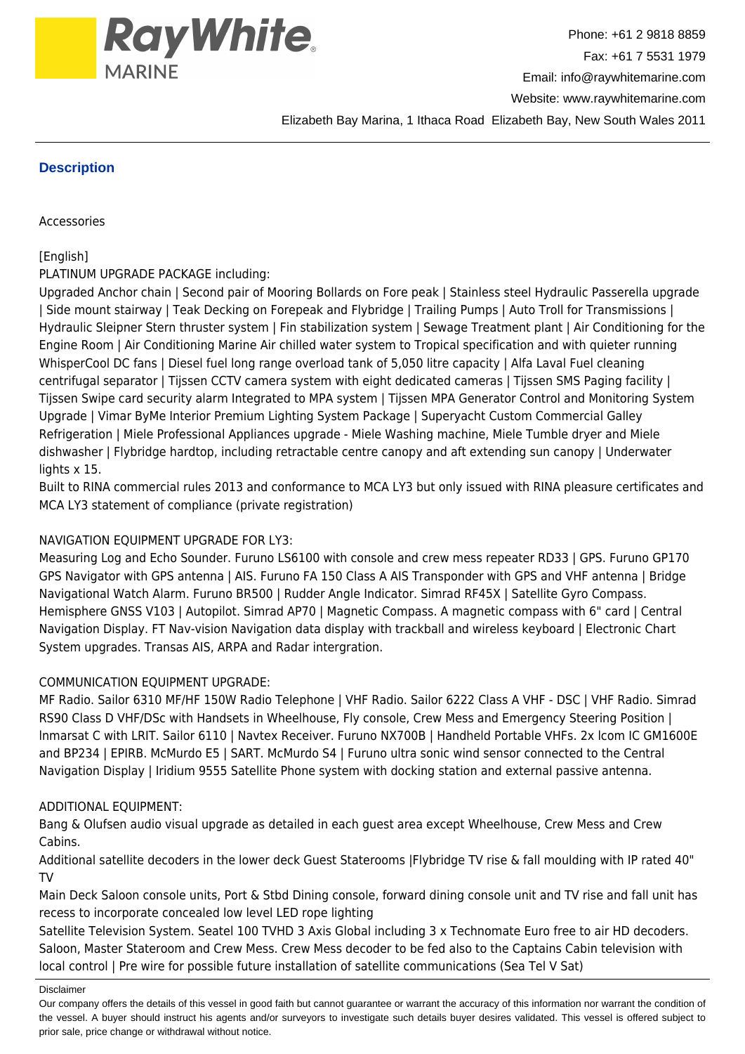

Elizabeth Bay Marina, 1 Ithaca Road Elizabeth Bay, New South Wales 2011

## **Description**

Accessories

## [English]

## PLATINUM UPGRADE PACKAGE including:

Upgraded Anchor chain | Second pair of Mooring Bollards on Fore peak | Stainless steel Hydraulic Passerella upgrade | Side mount stairway | Teak Decking on Forepeak and Flybridge | Trailing Pumps | Auto Troll for Transmissions | Hydraulic Sleipner Stern thruster system | Fin stabilization system | Sewage Treatment plant | Air Conditioning for the Engine Room | Air Conditioning Marine Air chilled water system to Tropical specification and with quieter running WhisperCool DC fans | Diesel fuel long range overload tank of 5,050 litre capacity | Alfa Laval Fuel cleaning centrifugal separator | Tijssen CCTV camera system with eight dedicated cameras | Tijssen SMS Paging facility | Tijssen Swipe card security alarm Integrated to MPA system | Tijssen MPA Generator Control and Monitoring System Upgrade | Vimar ByMe Interior Premium Lighting System Package | Superyacht Custom Commercial Galley Refrigeration | Miele Professional Appliances upgrade - Miele Washing machine, Miele Tumble dryer and Miele dishwasher | Flybridge hardtop, including retractable centre canopy and aft extending sun canopy | Underwater lights x 15.

Built to RINA commercial rules 2013 and conformance to MCA LY3 but only issued with RINA pleasure certificates and MCA LY3 statement of compliance (private registration)

## NAVIGATION EQUIPMENT UPGRADE FOR LY3:

Measuring Log and Echo Sounder. Furuno LS6100 with console and crew mess repeater RD33 | GPS. Furuno GP170 GPS Navigator with GPS antenna | AIS. Furuno FA 150 Class A AIS Transponder with GPS and VHF antenna | Bridge Navigational Watch Alarm. Furuno BR500 | Rudder Angle Indicator. Simrad RF45X | Satellite Gyro Compass. Hemisphere GNSS V103 | Autopilot. Simrad AP70 | Magnetic Compass. A magnetic compass with 6" card | Central Navigation Display. FT Nav-vision Navigation data display with trackball and wireless keyboard | Electronic Chart System upgrades. Transas AIS, ARPA and Radar intergration.

## COMMUNICATION EQUIPMENT UPGRADE:

MF Radio. Sailor 6310 MF/HF 150W Radio Telephone | VHF Radio. Sailor 6222 Class A VHF - DSC | VHF Radio. Simrad RS90 Class D VHF/DSc with Handsets in Wheelhouse, Fly console, Crew Mess and Emergency Steering Position | lnmarsat C with LRIT. Sailor 6110 | Navtex Receiver. Furuno NX700B | Handheld Portable VHFs. 2x lcom IC GM1600E and BP234 | EPIRB. McMurdo E5 | SART. McMurdo S4 | Furuno ultra sonic wind sensor connected to the Central Navigation Display | Iridium 9555 Satellite Phone system with docking station and external passive antenna.

## ADDITIONAL EQUIPMENT:

Bang & Olufsen audio visual upgrade as detailed in each guest area except Wheelhouse, Crew Mess and Crew Cabins.

Additional satellite decoders in the lower deck Guest Staterooms |Flybridge TV rise & fall moulding with IP rated 40" TV

Main Deck Saloon console units, Port & Stbd Dining console, forward dining console unit and TV rise and fall unit has recess to incorporate concealed low level LED rope lighting

Satellite Television System. Seatel 100 TVHD 3 Axis Global including 3 x Technomate Euro free to air HD decoders. Saloon, Master Stateroom and Crew Mess. Crew Mess decoder to be fed also to the Captains Cabin television with local control | Pre wire for possible future installation of satellite communications (Sea Tel V Sat)

#### Disclaimer

Our company offers the details of this vessel in good faith but cannot guarantee or warrant the accuracy of this information nor warrant the condition of the vessel. A buyer should instruct his agents and/or surveyors to investigate such details buyer desires validated. This vessel is offered subject to prior sale, price change or withdrawal without notice.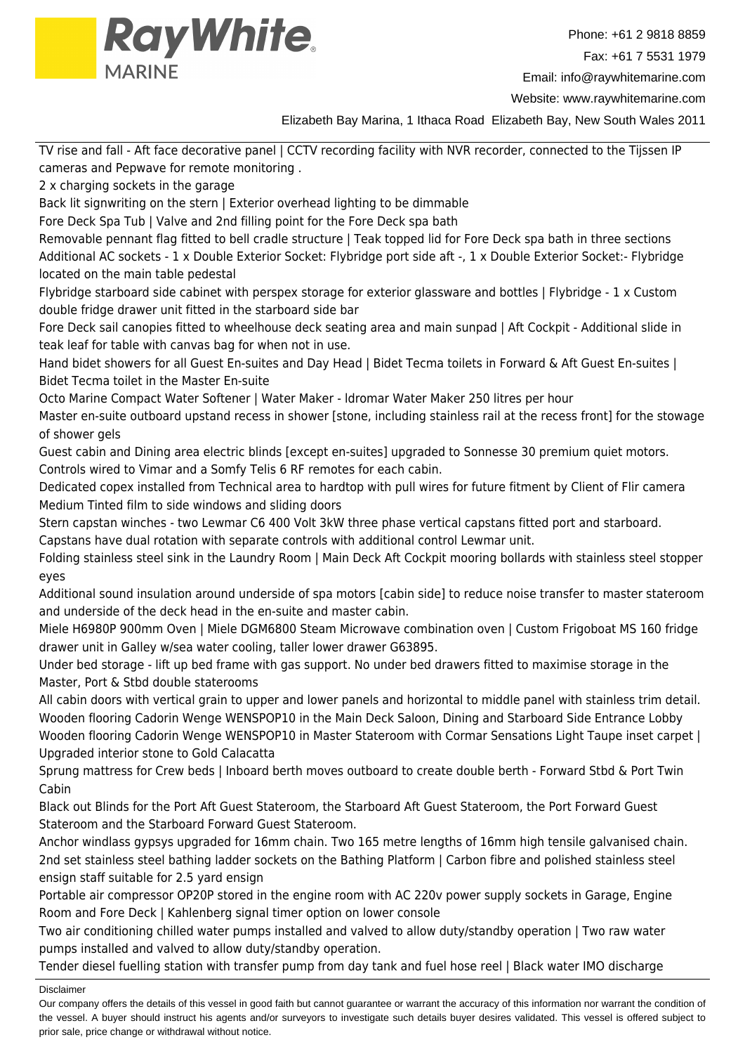

Website: www.raywhitemarine.com

Elizabeth Bay Marina, 1 Ithaca Road Elizabeth Bay, New South Wales 2011

TV rise and fall - Aft face decorative panel | CCTV recording facility with NVR recorder, connected to the Tijssen IP cameras and Pepwave for remote monitoring .

2 x charging sockets in the garage

Back lit signwriting on the stern I Exterior overhead lighting to be dimmable

Fore Deck Spa Tub | Valve and 2nd filling point for the Fore Deck spa bath

Removable pennant flag fitted to bell cradle structure | Teak topped lid for Fore Deck spa bath in three sections Additional AC sockets - 1 x Double Exterior Socket: Flybridge port side aft -, 1 x Double Exterior Socket:- Flybridge located on the main table pedestal

Flybridge starboard side cabinet with perspex storage for exterior glassware and bottles | Flybridge - 1 x Custom double fridge drawer unit fitted in the starboard side bar

Fore Deck sail canopies fitted to wheelhouse deck seating area and main sunpad | Aft Cockpit - Additional slide in teak leaf for table with canvas bag for when not in use.

Hand bidet showers for all Guest En-suites and Day Head | Bidet Tecma toilets in Forward & Aft Guest En-suites | Bidet Tecma toilet in the Master En-suite

Octo Marine Compact Water Softener | Water Maker - ldromar Water Maker 250 litres per hour

Master en-suite outboard upstand recess in shower [stone, including stainless rail at the recess front] for the stowage of shower gels

Guest cabin and Dining area electric blinds [except en-suites] upgraded to Sonnesse 30 premium quiet motors. Controls wired to Vimar and a Somfy Telis 6 RF remotes for each cabin.

Dedicated copex installed from Technical area to hardtop with pull wires for future fitment by Client of Flir camera Medium Tinted film to side windows and sliding doors

Stern capstan winches - two Lewmar C6 400 Volt 3kW three phase vertical capstans fitted port and starboard.

Capstans have dual rotation with separate controls with additional control Lewmar unit.

Folding stainless steel sink in the Laundry Room | Main Deck Aft Cockpit mooring bollards with stainless steel stopper eyes

Additional sound insulation around underside of spa motors [cabin side] to reduce noise transfer to master stateroom and underside of the deck head in the en-suite and master cabin.

Miele H6980P 900mm Oven | Miele DGM6800 Steam Microwave combination oven | Custom Frigoboat MS 160 fridge drawer unit in Galley w/sea water cooling, taller lower drawer G63895.

Under bed storage - lift up bed frame with gas support. No under bed drawers fitted to maximise storage in the Master, Port & Stbd double staterooms

All cabin doors with vertical grain to upper and lower panels and horizontal to middle panel with stainless trim detail. Wooden flooring Cadorin Wenge WENSPOP10 in the Main Deck Saloon, Dining and Starboard Side Entrance Lobby Wooden flooring Cadorin Wenge WENSPOP10 in Master Stateroom with Cormar Sensations Light Taupe inset carpet | Upgraded interior stone to Gold Calacatta

Sprung mattress for Crew beds | Inboard berth moves outboard to create double berth - Forward Stbd & Port Twin Cabin

Black out Blinds for the Port Aft Guest Stateroom, the Starboard Aft Guest Stateroom, the Port Forward Guest Stateroom and the Starboard Forward Guest Stateroom.

Anchor windlass gypsys upgraded for 16mm chain. Two 165 metre lengths of 16mm high tensile galvanised chain. 2nd set stainless steel bathing ladder sockets on the Bathing Platform | Carbon fibre and polished stainless steel ensign staff suitable for 2.5 yard ensign

Portable air compressor OP20P stored in the engine room with AC 220v power supply sockets in Garage, Engine Room and Fore Deck | Kahlenberg signal timer option on lower console

Two air conditioning chilled water pumps installed and valved to allow duty/standby operation | Two raw water pumps installed and valved to allow duty/standby operation.

Tender diesel fuelling station with transfer pump from day tank and fuel hose reel | Black water IMO discharge

#### Disclaimer

Our company offers the details of this vessel in good faith but cannot guarantee or warrant the accuracy of this information nor warrant the condition of the vessel. A buyer should instruct his agents and/or surveyors to investigate such details buyer desires validated. This vessel is offered subject to prior sale, price change or withdrawal without notice.